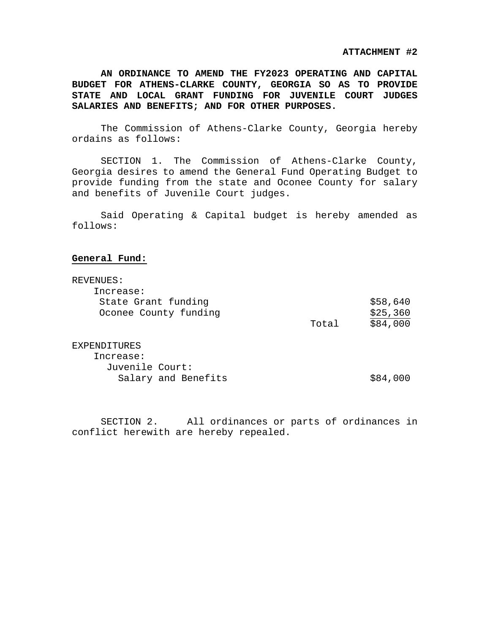**AN ORDINANCE TO AMEND THE FY2023 OPERATING AND CAPITAL BUDGET FOR ATHENS-CLARKE COUNTY, GEORGIA SO AS TO PROVIDE STATE AND LOCAL GRANT FUNDING FOR JUVENILE COURT JUDGES SALARIES AND BENEFITS; AND FOR OTHER PURPOSES.**

 The Commission of Athens-Clarke County, Georgia hereby ordains as follows:

 SECTION 1. The Commission of Athens-Clarke County, Georgia desires to amend the General Fund Operating Budget to provide funding from the state and Oconee County for salary and benefits of Juvenile Court judges.

Said Operating & Capital budget is hereby amended as follows:

#### **General Fund:**

| REVENUES:             |       |          |
|-----------------------|-------|----------|
| Increase:             |       |          |
| State Grant funding   |       | \$58,640 |
| Oconee County funding |       | \$25,360 |
|                       | Total | \$84,000 |
|                       |       |          |

EXPENDITURES

| Increase:       |                     |          |
|-----------------|---------------------|----------|
| Juvenile Court: |                     |          |
|                 | Salary and Benefits | \$84,000 |

 SECTION 2. All ordinances or parts of ordinances in conflict herewith are hereby repealed.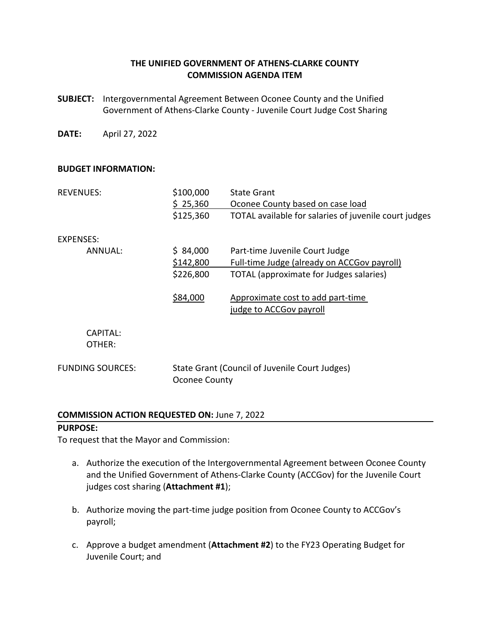# **THE UNIFIED GOVERNMENT OF ATHENS‐CLARKE COUNTY COMMISSION AGENDA ITEM**

**SUBJECT:**  Intergovernmental Agreement Between Oconee County and the Unified Government of Athens‐Clarke County ‐ Juvenile Court Judge Cost Sharing

**DATE:**  April 27, 2022

#### **BUDGET INFORMATION:**

| <b>REVENUES:</b>        | \$100,000     | <b>State Grant</b>                                    |  |
|-------------------------|---------------|-------------------------------------------------------|--|
|                         | \$25,360      | Oconee County based on case load                      |  |
|                         | \$125,360     | TOTAL available for salaries of juvenile court judges |  |
| EXPENSES:               |               |                                                       |  |
| ANNUAL:                 | \$84,000      | Part-time Juvenile Court Judge                        |  |
|                         | \$142,800     | Full-time Judge (already on ACCGov payroll)           |  |
|                         | \$226,800     | TOTAL (approximate for Judges salaries)               |  |
|                         | \$84,000      | Approximate cost to add part-time                     |  |
|                         |               | judge to ACCGov payroll                               |  |
| CAPITAL:<br>OTHER:      |               |                                                       |  |
| <b>FUNDING SOURCES:</b> | Oconee County | State Grant (Council of Juvenile Court Judges)        |  |

#### **COMMISSION ACTION REQUESTED ON:** June 7, 2022

## **PURPOSE:**

To request that the Mayor and Commission:

- a. Authorize the execution of the Intergovernmental Agreement between Oconee County and the Unified Government of Athens‐Clarke County (ACCGov) for the Juvenile Court judges cost sharing (**Attachment #1**);
- b. Authorize moving the part-time judge position from Oconee County to ACCGov's payroll;
- c. Approve a budget amendment (**Attachment #2**) to the FY23 Operating Budget for Juvenile Court; and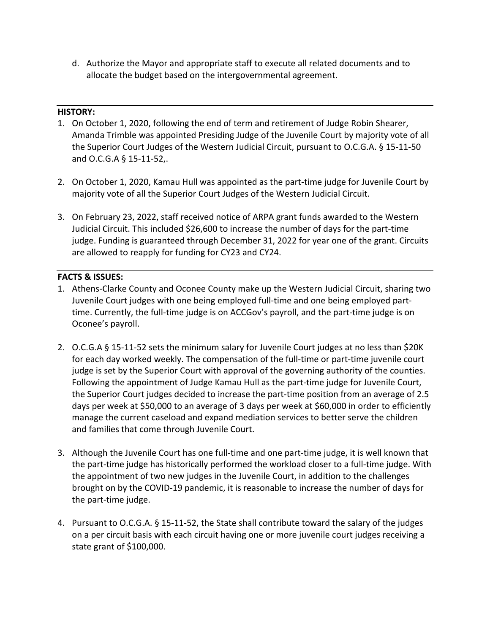d. Authorize the Mayor and appropriate staff to execute all related documents and to allocate the budget based on the intergovernmental agreement.

# **HISTORY:**

- 1. On October 1, 2020, following the end of term and retirement of Judge Robin Shearer, Amanda Trimble was appointed Presiding Judge of the Juvenile Court by majority vote of all the Superior Court Judges of the Western Judicial Circuit, pursuant to O.C.G.A. § 15‐11‐50 and O.C.G.A § 15‐11‐52,.
- 2. On October 1, 2020, Kamau Hull was appointed as the part-time judge for Juvenile Court by majority vote of all the Superior Court Judges of the Western Judicial Circuit.
- 3. On February 23, 2022, staff received notice of ARPA grant funds awarded to the Western Judicial Circuit. This included \$26,600 to increase the number of days for the part‐time judge. Funding is guaranteed through December 31, 2022 for year one of the grant. Circuits are allowed to reapply for funding for CY23 and CY24.

## **FACTS & ISSUES:**

- 1. Athens‐Clarke County and Oconee County make up the Western Judicial Circuit, sharing two Juvenile Court judges with one being employed full‐time and one being employed part‐ time. Currently, the full-time judge is on ACCGov's payroll, and the part-time judge is on Oconee's payroll.
- 2. O.C.G.A § 15‐11‐52 sets the minimum salary for Juvenile Court judges at no less than \$20K for each day worked weekly. The compensation of the full-time or part-time juvenile court judge is set by the Superior Court with approval of the governing authority of the counties. Following the appointment of Judge Kamau Hull as the part-time judge for Juvenile Court, the Superior Court judges decided to increase the part‐time position from an average of 2.5 days per week at \$50,000 to an average of 3 days per week at \$60,000 in order to efficiently manage the current caseload and expand mediation services to better serve the children and families that come through Juvenile Court.
- 3. Although the Juvenile Court has one full-time and one part-time judge, it is well known that the part‐time judge has historically performed the workload closer to a full‐time judge. With the appointment of two new judges in the Juvenile Court, in addition to the challenges brought on by the COVID‐19 pandemic, it is reasonable to increase the number of days for the part‐time judge.
- 4. Pursuant to O.C.G.A. § 15‐11‐52, the State shall contribute toward the salary of the judges on a per circuit basis with each circuit having one or more juvenile court judges receiving a state grant of \$100,000.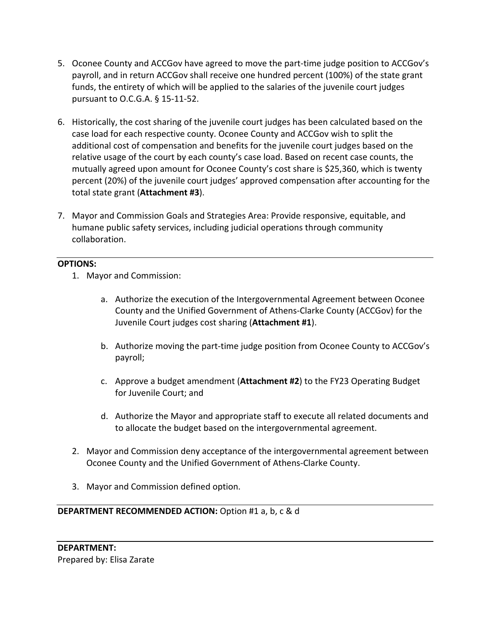- 5. Oconee County and ACCGov have agreed to move the part-time judge position to ACCGov's payroll, and in return ACCGov shall receive one hundred percent (100%) of the state grant funds, the entirety of which will be applied to the salaries of the juvenile court judges pursuant to O.C.G.A. § 15‐11‐52.
- 6. Historically, the cost sharing of the juvenile court judges has been calculated based on the case load for each respective county. Oconee County and ACCGov wish to split the additional cost of compensation and benefits for the juvenile court judges based on the relative usage of the court by each county's case load. Based on recent case counts, the mutually agreed upon amount for Oconee County's cost share is \$25,360, which is twenty percent (20%) of the juvenile court judges' approved compensation after accounting for the total state grant (**Attachment #3**).
- 7. Mayor and Commission Goals and Strategies Area: Provide responsive, equitable, and humane public safety services, including judicial operations through community collaboration.

#### **OPTIONS:**

- 1. Mayor and Commission:
	- a. Authorize the execution of the Intergovernmental Agreement between Oconee County and the Unified Government of Athens‐Clarke County (ACCGov) for the Juvenile Court judges cost sharing (**Attachment #1**).
	- b. Authorize moving the part-time judge position from Oconee County to ACCGov's payroll;
	- c. Approve a budget amendment (**Attachment #2**) to the FY23 Operating Budget for Juvenile Court; and
	- d. Authorize the Mayor and appropriate staff to execute all related documents and to allocate the budget based on the intergovernmental agreement.
- 2. Mayor and Commission deny acceptance of the intergovernmental agreement between Oconee County and the Unified Government of Athens‐Clarke County.
- 3. Mayor and Commission defined option.

#### **DEPARTMENT RECOMMENDED ACTION:** Option #1 a, b, c & d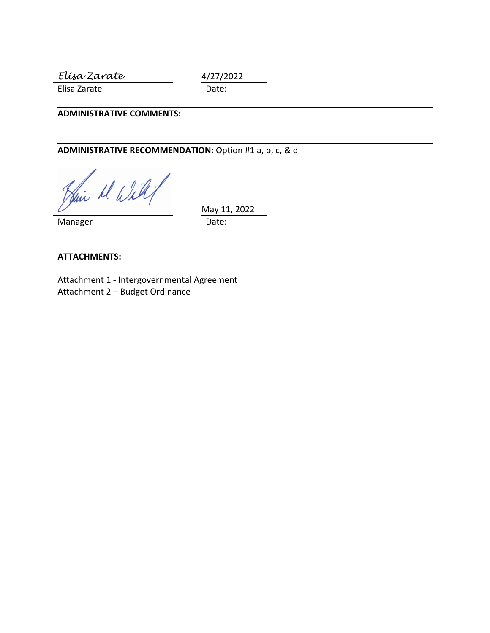*Elisa Zarate* 4/27/2022

Elisa Zarate Date:

**ADMINISTRATIVE COMMENTS:** 

**ADMINISTRATIVE RECOMMENDATION:** Option #1 a, b, c, & d

Jui M. Will

Manager **Date:** 

May 11, 2022

**ATTACHMENTS:** 

Attachment 1 ‐ Intergovernmental Agreement Attachment 2 – Budget Ordinance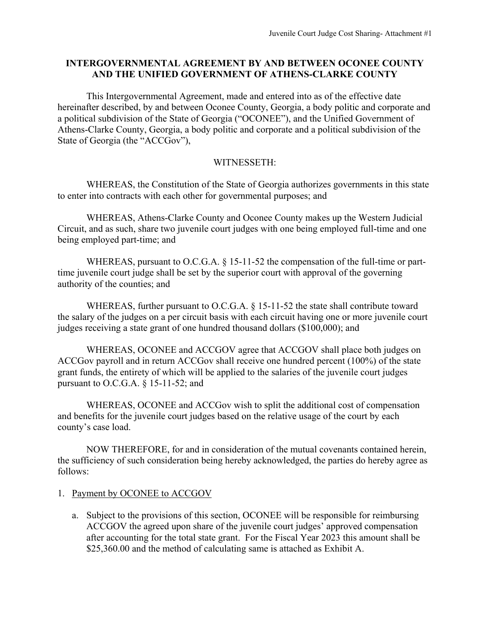# **INTERGOVERNMENTAL AGREEMENT BY AND BETWEEN OCONEE COUNTY AND THE UNIFIED GOVERNMENT OF ATHENS-CLARKE COUNTY**

This Intergovernmental Agreement, made and entered into as of the effective date hereinafter described, by and between Oconee County, Georgia, a body politic and corporate and a political subdivision of the State of Georgia ("OCONEE"), and the Unified Government of Athens-Clarke County, Georgia, a body politic and corporate and a political subdivision of the State of Georgia (the "ACCGov"),

# WITNESSETH:

 WHEREAS, the Constitution of the State of Georgia authorizes governments in this state to enter into contracts with each other for governmental purposes; and

 WHEREAS, Athens-Clarke County and Oconee County makes up the Western Judicial Circuit, and as such, share two juvenile court judges with one being employed full-time and one being employed part-time; and

 WHEREAS, pursuant to O.C.G.A. § 15-11-52 the compensation of the full-time or parttime juvenile court judge shall be set by the superior court with approval of the governing authority of the counties; and

WHEREAS, further pursuant to O.C.G.A. § 15-11-52 the state shall contribute toward the salary of the judges on a per circuit basis with each circuit having one or more juvenile court judges receiving a state grant of one hundred thousand dollars (\$100,000); and

 WHEREAS, OCONEE and ACCGOV agree that ACCGOV shall place both judges on ACCGov payroll and in return ACCGov shall receive one hundred percent (100%) of the state grant funds, the entirety of which will be applied to the salaries of the juvenile court judges pursuant to O.C.G.A.  $\&$  15-11-52; and

 WHEREAS, OCONEE and ACCGov wish to split the additional cost of compensation and benefits for the juvenile court judges based on the relative usage of the court by each county's case load.

 NOW THEREFORE, for and in consideration of the mutual covenants contained herein, the sufficiency of such consideration being hereby acknowledged, the parties do hereby agree as follows:

# 1. Payment by OCONEE to ACCGOV

a. Subject to the provisions of this section, OCONEE will be responsible for reimbursing ACCGOV the agreed upon share of the juvenile court judges' approved compensation after accounting for the total state grant. For the Fiscal Year 2023 this amount shall be \$25,360.00 and the method of calculating same is attached as Exhibit A.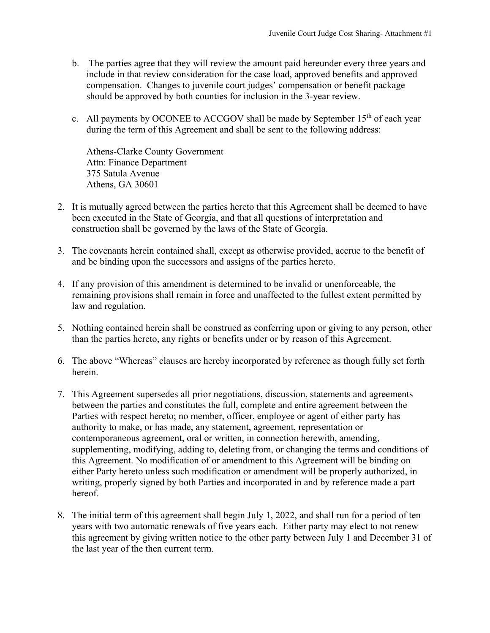- b. The parties agree that they will review the amount paid hereunder every three years and include in that review consideration for the case load, approved benefits and approved compensation. Changes to juvenile court judges' compensation or benefit package should be approved by both counties for inclusion in the 3-year review.
- c. All payments by OCONEE to ACCGOV shall be made by September  $15<sup>th</sup>$  of each year during the term of this Agreement and shall be sent to the following address:

Athens-Clarke County Government Attn: Finance Department 375 Satula Avenue Athens, GA 30601

- 2. It is mutually agreed between the parties hereto that this Agreement shall be deemed to have been executed in the State of Georgia, and that all questions of interpretation and construction shall be governed by the laws of the State of Georgia.
- 3. The covenants herein contained shall, except as otherwise provided, accrue to the benefit of and be binding upon the successors and assigns of the parties hereto.
- 4. If any provision of this amendment is determined to be invalid or unenforceable, the remaining provisions shall remain in force and unaffected to the fullest extent permitted by law and regulation.
- 5. Nothing contained herein shall be construed as conferring upon or giving to any person, other than the parties hereto, any rights or benefits under or by reason of this Agreement.
- 6. The above "Whereas" clauses are hereby incorporated by reference as though fully set forth herein.
- 7. This Agreement supersedes all prior negotiations, discussion, statements and agreements between the parties and constitutes the full, complete and entire agreement between the Parties with respect hereto; no member, officer, employee or agent of either party has authority to make, or has made, any statement, agreement, representation or contemporaneous agreement, oral or written, in connection herewith, amending, supplementing, modifying, adding to, deleting from, or changing the terms and conditions of this Agreement. No modification of or amendment to this Agreement will be binding on either Party hereto unless such modification or amendment will be properly authorized, in writing, properly signed by both Parties and incorporated in and by reference made a part hereof.
- 8. The initial term of this agreement shall begin July 1, 2022, and shall run for a period of ten years with two automatic renewals of five years each. Either party may elect to not renew this agreement by giving written notice to the other party between July 1 and December 31 of the last year of the then current term.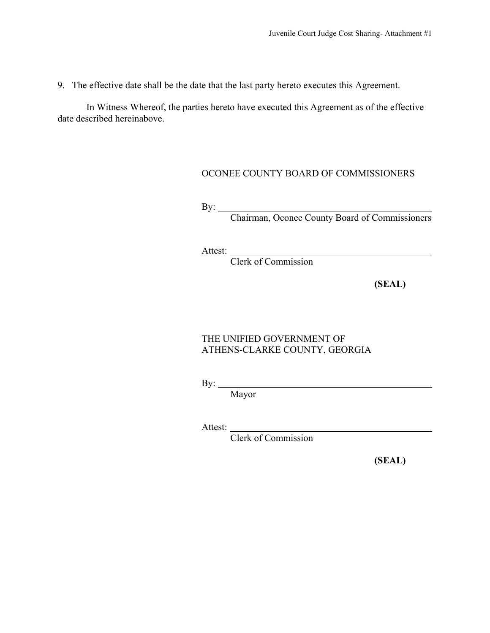9. The effective date shall be the date that the last party hereto executes this Agreement.

In Witness Whereof, the parties hereto have executed this Agreement as of the effective date described hereinabove.

# OCONEE COUNTY BOARD OF COMMISSIONERS

By:

Chairman, Oconee County Board of Commissioners

Attest:

Clerk of Commission

**(SEAL)** 

# THE UNIFIED GOVERNMENT OF ATHENS-CLARKE COUNTY, GEORGIA

By:

Mayor

Attest:

Clerk of Commission

**(SEAL)**